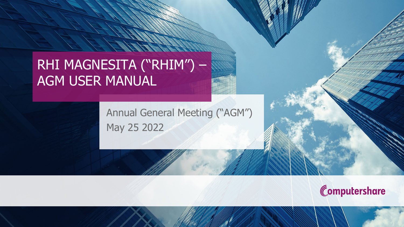## RHI MAGNESITA ("RHIM") – AGM USER MANUAL

Annual General Meeting ("AGM") May 25 2022

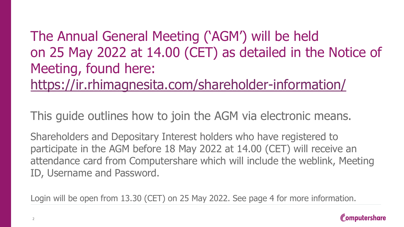# The Annual General Meeting ('AGM') will be held on 25 May 2022 at 14.00 (CET) as detailed in the Notice of Meeting, found here:

<https://ir.rhimagnesita.com/shareholder-information/>

This guide outlines how to join the AGM via electronic means.

Shareholders and Depositary Interest holders who have registered to participate in the AGM before 18 May 2022 at 14.00 (CET) will receive an attendance card from Computershare which will include the weblink, Meeting ID, Username and Password.

Login will be open from 13.30 (CET) on 25 May 2022. See page 4 for more information.

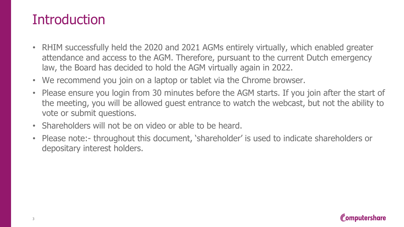### **Introduction**

- RHIM successfully held the 2020 and 2021 AGMs entirely virtually, which enabled greater attendance and access to the AGM. Therefore, pursuant to the current Dutch emergency law, the Board has decided to hold the AGM virtually again in 2022.
- We recommend you join on a laptop or tablet via the Chrome browser.
- Please ensure you login from 30 minutes before the AGM starts. If you join after the start of the meeting, you will be allowed guest entrance to watch the webcast, but not the ability to vote or submit questions.
- Shareholders will not be on video or able to be heard.
- Please note:- throughout this document, 'shareholder' is used to indicate shareholders or depositary interest holders.

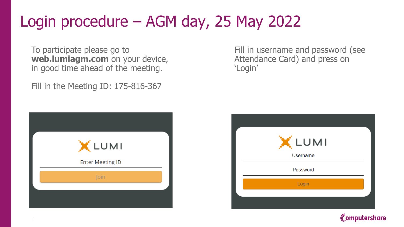# Login procedure – AGM day, 25 May 2022

To participate please go to **web.lumiagm.com** on your device, in good time ahead of the meeting.

Fill in the Meeting ID: 175-816-367

| X LUMI                  |  |
|-------------------------|--|
| <b>Enter Meeting ID</b> |  |
| Join                    |  |
|                         |  |

Fill in username and password (see Attendance Card) and press on 'Login'

| X LUMI          |  |
|-----------------|--|
| <b>Username</b> |  |
| Password        |  |
| Login           |  |
|                 |  |
|                 |  |

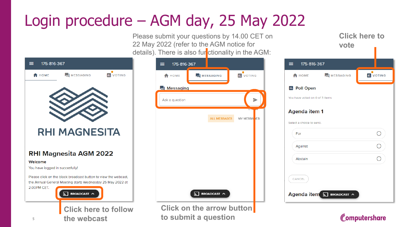# Login procedure – AGM day, 25 May 2022

Please submit your questions by 14.00 CET on 22 May 2022 (refer to the AGM notice for details). Th



|                    | s). There is also fur <mark>i</mark> ctionality in the AGM: |                         |  |
|--------------------|-------------------------------------------------------------|-------------------------|--|
| 175-816-367<br>≡ ⊺ |                                                             |                         |  |
| <b>A</b> HOME      | MESSAGING                                                   | <b>Ili</b> VOTING       |  |
| Messaging          |                                                             |                         |  |
| Ask a question     |                                                             |                         |  |
|                    | ALL MESSAGES                                                | MY MESSA <sup>SES</sup> |  |
|                    |                                                             |                         |  |
|                    |                                                             |                         |  |
|                    |                                                             |                         |  |
|                    |                                                             |                         |  |
|                    |                                                             |                         |  |
|                    | BROADCAST ^<br>₹.                                           |                         |  |
|                    |                                                             |                         |  |

**Click on the arrow button to submit a question**

| vote                           |                           |                  |
|--------------------------------|---------------------------|------------------|
| 三、<br>175-816-367              |                           |                  |
| HOME                           | <b>E</b> MESSAGING        | <b>IL</b> VOTING |
| <b>III</b> Poll Open           |                           |                  |
| You have voted on 0 of 3 items |                           |                  |
| Agenda item 1                  |                           |                  |
| Select a choice to send.       |                           |                  |
| For                            |                           | ∋                |
| Against                        |                           |                  |
| Abstain                        |                           | $\Box$           |
| CANCEL                         | Agenda item 5 BROADCAST ^ |                  |



**Click here to**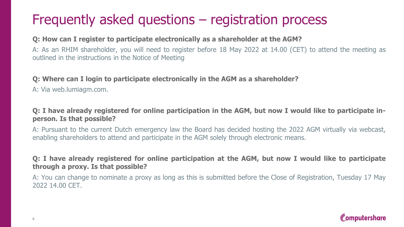### Frequently asked questions – registration process

### **Q: How can I register to participate electronically as a shareholder at the AGM?**

A: As an RHIM shareholder, you will need to register before 18 May 2022 at 14.00 (CET) to attend the meeting as outlined in the instructions in the Notice of Meeting

### **Q: Where can I login to participate electronically in the AGM as a shareholder?**

A: Via web.lumiagm.com.

### Q: I have already registered for online participation in the AGM, but now I would like to participate in**person. Is that possible?**

A: Pursuant to the current Dutch emergency law the Board has decided hosting the 2022 AGM virtually via webcast, enabling shareholders to attend and participate in the AGM solely through electronic means.

### Q: I have already registered for online participation at the AGM, but now I would like to participate **through a proxy. Is that possible?**

A: You can change to nominate a proxy as long as this is submitted before the Close of Registration, Tuesday 17 May 2022 14.00 CET.

### Computershare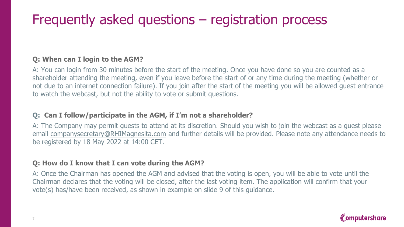### Frequently asked questions – registration process

### **Q: When can I login to the AGM?**

A: You can login from 30 minutes before the start of the meeting. Once you have done so you are counted as a shareholder attending the meeting, even if you leave before the start of or any time during the meeting (whether or not due to an internet connection failure). If you join after the start of the meeting you will be allowed guest entrance to watch the webcast, but not the ability to vote or submit questions.

### **Q: Can I follow/participate in the AGM, if I'm not a shareholder?**

A: The Company may permit guests to attend at its discretion. Should you wish to join the webcast as a guest please email [companysecretary@RHIMagnesita.com](mailto:companysecretary@RHIMagnesita.com) and further details will be provided. Please note any attendance needs to be registered by 18 May 2022 at 14:00 CET.

### **Q: How do I know that I can vote during the AGM?**

A: Once the Chairman has opened the AGM and advised that the voting is open, you will be able to vote until the Chairman declares that the voting will be closed, after the last voting item. The application will confirm that your vote(s) has/have been received, as shown in example on slide 9 of this guidance.

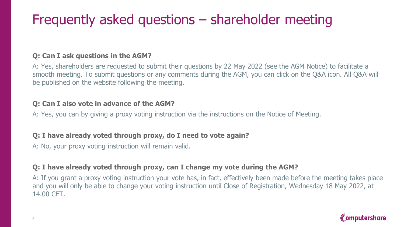## Frequently asked questions – shareholder meeting

### **Q: Can I ask questions in the AGM?**

A: Yes, shareholders are requested to submit their questions by 22 May 2022 (see the AGM Notice) to facilitate a smooth meeting. To submit questions or any comments during the AGM, you can click on the Q&A icon. All Q&A will be published on the website following the meeting.

### **Q: Can I also vote in advance of the AGM?**

A: Yes, you can by giving a proxy voting instruction via the instructions on the Notice of Meeting.

### **Q: I have already voted through proxy, do I need to vote again?**

A: No, your proxy voting instruction will remain valid.

### **Q: I have already voted through proxy, can I change my vote during the AGM?**

A: If you grant a proxy voting instruction your vote has, in fact, effectively been made before the meeting takes place and you will only be able to change your voting instruction until Close of Registration, Wednesday 18 May 2022, at 14.00 CET.

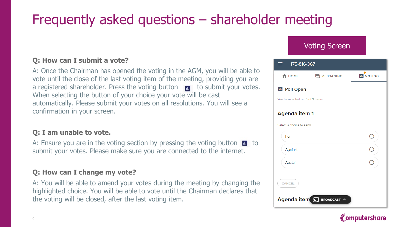## Frequently asked questions – shareholder meeting

### **Q: How can I submit a vote?**

A: Once the Chairman has opened the voting in the AGM, you will be able to vote until the close of the last voting item of the meeting, providing you are a registered shareholder. Press the voting button  $\mathbf{u}$  to submit your votes. When selecting the button of your choice your vote will be cast automatically. Please submit your votes on all resolutions. You will see a confirmation in your screen.

#### **Q: I am unable to vote.**

A: Ensure you are in the voting section by pressing the voting button  $\blacksquare$  to submit your votes. Please make sure you are connected to the internet.

#### **Q: How can I change my vote?**

A: You will be able to amend your votes during the meeting by changing the highlighted choice. You will be able to vote until the Chairman declares that the voting will be closed, after the last voting item.



### Computershare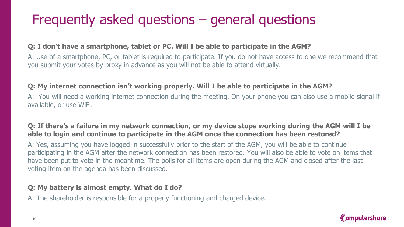## Frequently asked questions – general questions

### **Q: I don't have a smartphone, tablet or PC. Will I be able to participate in the AGM?**

A: Use of a smartphone, PC, or tablet is required to participate. If you do not have access to one we recommend that you submit your votes by proxy in advance as you will not be able to attend virtually.

#### **Q: My internet connection isn't working properly. Will I be able to participate in the AGM?**

A: You will need a working internet connection during the meeting. On your phone you can also use a mobile signal if available, or use WiFi.

### **Q: If there's a failure in my network connection, or my device stops working during the AGM will I be able to login and continue to participate in the AGM once the connection has been restored?**

A: Yes, assuming you have logged in successfully prior to the start of the AGM, you will be able to continue participating in the AGM after the network connection has been restored. You will also be able to vote on items that have been put to vote in the meantime. The polls for all items are open during the AGM and closed after the last voting item on the agenda has been discussed.

### **Q: My battery is almost empty. What do I do?**

A: The shareholder is responsible for a properly functioning and charged device.

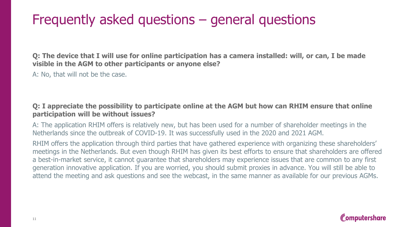### Frequently asked questions – general questions

**Q: The device that I will use for online participation has a camera installed: will, or can, I be made visible in the AGM to other participants or anyone else?**

A: No, that will not be the case.

#### **Q: I appreciate the possibility to participate online at the AGM but how can RHIM ensure that online participation will be without issues?**

A: The application RHIM offers is relatively new, but has been used for a number of shareholder meetings in the Netherlands since the outbreak of COVID-19. It was successfully used in the 2020 and 2021 AGM.

RHIM offers the application through third parties that have gathered experience with organizing these shareholders' meetings in the Netherlands. But even though RHIM has given its best efforts to ensure that shareholders are offered a best-in-market service, it cannot guarantee that shareholders may experience issues that are common to any first generation innovative application. If you are worried, you should submit proxies in advance. You will still be able to attend the meeting and ask questions and see the webcast, in the same manner as available for our previous AGMs.

### **Computershare**